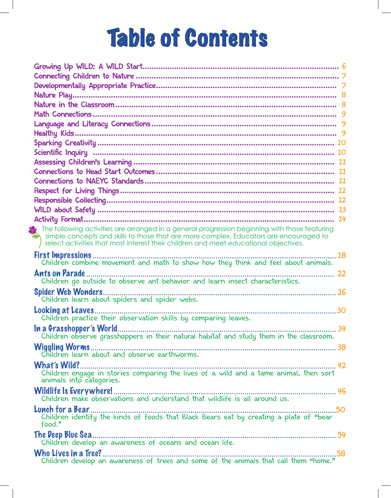## Table of Contents

| $\Omega$ The following activities are arranged in a general progression beginning with those featuring                                                                         |
|--------------------------------------------------------------------------------------------------------------------------------------------------------------------------------|
| simple concepts and skills to those that are more complex. Educators are encouraged to<br>select activities that most interest their children and meet educational objectives. |
| 18                                                                                                                                                                             |
| Children combine movement and math to show how they think and feel about animals.                                                                                              |
| <b>Ants on Parade</b>                                                                                                                                                          |
| <b>Spider Web Wonders.</b><br>Children learn about spiders and spider webs.                                                                                                    |
| Looking at Leaves.<br>Children practice their observation skills by comparing leaves.                                                                                          |
|                                                                                                                                                                                |
|                                                                                                                                                                                |
|                                                                                                                                                                                |
| animals into categories.                                                                                                                                                       |
| <b>Wildlife Is Everywhere!</b>                                                                                                                                                 |
| food."                                                                                                                                                                         |
|                                                                                                                                                                                |
|                                                                                                                                                                                |